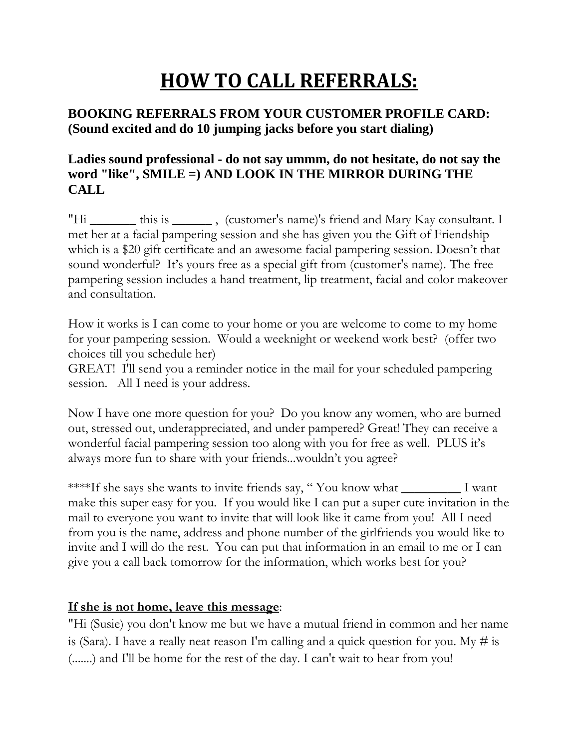# **HOW TO CALL REFERRALS:**

## **BOOKING REFERRALS FROM YOUR CUSTOMER PROFILE CARD: (Sound excited and do 10 jumping jacks before you start dialing)**

### **Ladies sound professional - do not say ummm, do not hesitate, do not say the word "like", SMILE =) AND LOOK IN THE MIRROR DURING THE CALL**

"Hi \_\_\_\_\_\_\_ this is \_\_\_\_\_\_\_, (customer's name)'s friend and Mary Kay consultant. I met her at a facial pampering session and she has given you the Gift of Friendship which is a \$20 gift certificate and an awesome facial pampering session. Doesn't that sound wonderful? It's yours free as a special gift from (customer's name). The free pampering session includes a hand treatment, lip treatment, facial and color makeover and consultation.

How it works is I can come to your home or you are welcome to come to my home for your pampering session. Would a weeknight or weekend work best? (offer two choices till you schedule her)

GREAT! I'll send you a reminder notice in the mail for your scheduled pampering session. All I need is your address.

Now I have one more question for you? Do you know any women, who are burned out, stressed out, underappreciated, and under pampered? Great! They can receive a wonderful facial pampering session too along with you for free as well. PLUS it's always more fun to share with your friends...wouldn't you agree?

\*\*\*\*If she says she wants to invite friends say, " You know what \_\_\_\_\_\_\_\_\_ I want make this super easy for you. If you would like I can put a super cute invitation in the mail to everyone you want to invite that will look like it came from you! All I need from you is the name, address and phone number of the girlfriends you would like to invite and I will do the rest. You can put that information in an email to me or I can give you a call back tomorrow for the information, which works best for you?

#### **If she is not home, leave this message**:

"Hi (Susie) you don't know me but we have a mutual friend in common and her name is (Sara). I have a really neat reason I'm calling and a quick question for you. My  $\#$  is (.......) and I'll be home for the rest of the day. I can't wait to hear from you!